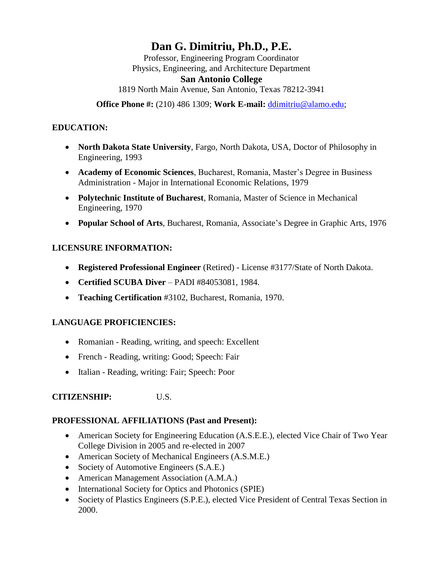# **Dan G. Dimitriu, Ph.D., P.E.**

Professor, Engineering Program Coordinator Physics, Engineering, and Architecture Department

### **San Antonio College**

1819 North Main Avenue, San Antonio, Texas 78212-3941

**Office Phone #:** (210) 486 1309; **Work E-mail:** [ddimitriu@alamo.edu;](mailto:ddimitriu@alamo.edu)

# **EDUCATION:**

- **North Dakota State University**, Fargo, North Dakota, USA, Doctor of Philosophy in Engineering, 1993
- **Academy of Economic Sciences**, Bucharest, Romania, Master's Degree in Business Administration - Major in International Economic Relations, 1979
- **Polytechnic Institute of Bucharest**, Romania, Master of Science in Mechanical Engineering, 1970
- **Popular School of Arts**, Bucharest, Romania, Associate's Degree in Graphic Arts, 1976

# **LICENSURE INFORMATION:**

- **Registered Professional Engineer** (Retired) License #3177/State of North Dakota.
- **Certified SCUBA Diver**  PADI #84053081, 1984.
- **Teaching Certification** #3102, Bucharest, Romania, 1970.

# **LANGUAGE PROFICIENCIES:**

- Romanian Reading, writing, and speech: Excellent
- French Reading, writing: Good; Speech: Fair
- Italian Reading, writing: Fair; Speech: Poor

# **CITIZENSHIP:** U.S.

### **PROFESSIONAL AFFILIATIONS (Past and Present):**

- American Society for Engineering Education (A.S.E.E.), elected Vice Chair of Two Year College Division in 2005 and re-elected in 2007
- American Society of Mechanical Engineers (A.S.M.E.)
- Society of Automotive Engineers (S.A.E.)
- American Management Association (A.M.A.)
- International Society for Optics and Photonics (SPIE)
- Society of Plastics Engineers (S.P.E.), elected Vice President of Central Texas Section in 2000.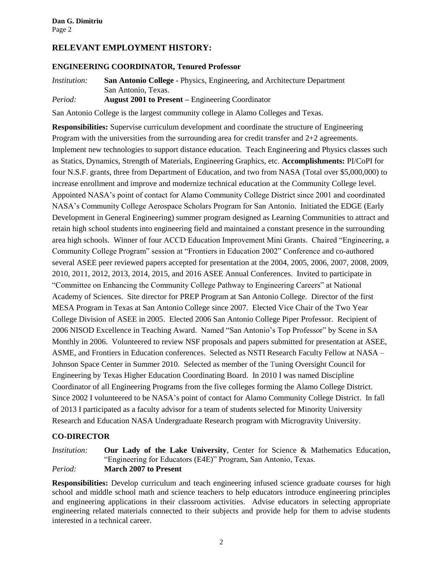### **RELEVANT EMPLOYMENT HISTORY:**

#### **ENGINEERING COORDINATOR, Tenured Professor**

*Institution:* **San Antonio College** - Physics, Engineering, and Architecture Department San Antonio, Texas. *Period:* **August 2001 to Present –** Engineering Coordinator

San Antonio College is the largest community college in Alamo Colleges and Texas.

**Responsibilities:** Supervise curriculum development and coordinate the structure of Engineering Program with the universities from the surrounding area for credit transfer and  $2+2$  agreements. Implement new technologies to support distance education. Teach Engineering and Physics classes such as Statics, Dynamics, Strength of Materials, Engineering Graphics, etc. **Accomplishments:** PI/CoPI for four N.S.F. grants, three from Department of Education, and two from NASA (Total over \$5,000,000) to increase enrollment and improve and modernize technical education at the Community College level. Appointed NASA's point of contact for Alamo Community College District since 2001 and coordinated NASA's Community College Aerospace Scholars Program for San Antonio. Initiated the EDGE (Early Development in General Engineering) summer program designed as Learning Communities to attract and retain high school students into engineering field and maintained a constant presence in the surrounding area high schools. Winner of four ACCD Education Improvement Mini Grants. Chaired "Engineering, a Community College Program" session at "Frontiers in Education 2002" Conference and co-authored several ASEE peer reviewed papers accepted for presentation at the 2004, 2005, 2006, 2007, 2008, 2009, 2010, 2011, 2012, 2013, 2014, 2015, and 2016 ASEE Annual Conferences. Invited to participate in "Committee on Enhancing the Community College Pathway to Engineering Careers" at National Academy of Sciences. Site director for PREP Program at San Antonio College. Director of the first MESA Program in Texas at San Antonio College since 2007. Elected Vice Chair of the Two Year College Division of ASEE in 2005. Elected 2006 San Antonio College Piper Professor. Recipient of 2006 NISOD Excellence in Teaching Award. Named "San Antonio's Top Professor" by Scene in SA Monthly in 2006. Volunteered to review NSF proposals and papers submitted for presentation at ASEE, ASME, and Frontiers in Education conferences. Selected as NSTI Research Faculty Fellow at NASA – Johnson Space Center in Summer 2010. Selected as member of the Tuning Oversight Council for Engineering by Texas Higher Education Coordinating Board. In 2010 I was named Discipline Coordinator of all Engineering Programs from the five colleges forming the Alamo College District. Since 2002 I volunteered to be NASA's point of contact for Alamo Community College District. In fall of 2013 I participated as a faculty advisor for a team of students selected for Minority University Research and Education NASA Undergraduate Research program with Microgravity University.

#### **CO-DIRECTOR**

*Institution:* **Our Lady of the Lake University**, Center for Science & Mathematics Education, "Engineering for Educators (E4E)" Program, San Antonio, Texas. *Period:* **March 2007 to Present**

**Responsibilities:** Develop curriculum and teach engineering infused science graduate courses for high school and middle school math and science teachers to help educators introduce engineering principles and engineering applications in their classroom activities. Advise educators in selecting appropriate engineering related materials connected to their subjects and provide help for them to advise students interested in a technical career.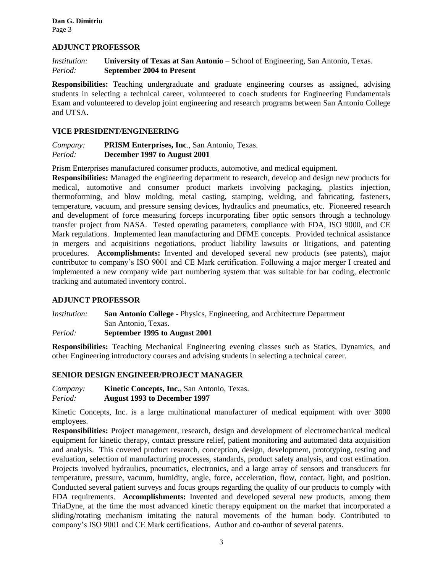#### **ADJUNCT PROFESSOR**

*Institution:* **University of Texas at San Antonio** – School of Engineering, San Antonio, Texas. *Period:* **September 2004 to Present**

**Responsibilities:** Teaching undergraduate and graduate engineering courses as assigned, advising students in selecting a technical career, volunteered to coach students for Engineering Fundamentals Exam and volunteered to develop joint engineering and research programs between San Antonio College and UTSA.

#### **VICE PRESIDENT/ENGINEERING**

*Company:* **PRISM Enterprises, Inc**., San Antonio, Texas. *Period:* **December 1997 to August 2001**

Prism Enterprises manufactured consumer products, automotive, and medical equipment.

**Responsibilities:** Managed the engineering department to research, develop and design new products for medical, automotive and consumer product markets involving packaging, plastics injection, thermoforming, and blow molding, metal casting, stamping, welding, and fabricating, fasteners, temperature, vacuum, and pressure sensing devices, hydraulics and pneumatics, etc. Pioneered research and development of force measuring forceps incorporating fiber optic sensors through a technology transfer project from NASA. Tested operating parameters, compliance with FDA, ISO 9000, and CE Mark regulations. Implemented lean manufacturing and DFME concepts. Provided technical assistance in mergers and acquisitions negotiations, product liability lawsuits or litigations, and patenting procedures. **Accomplishments:** Invented and developed several new products (see patents), major contributor to company's ISO 9001 and CE Mark certification. Following a major merger I created and implemented a new company wide part numbering system that was suitable for bar coding, electronic tracking and automated inventory control.

#### **ADJUNCT PROFESSOR**

*Institution:* **San Antonio College** - Physics, Engineering, and Architecture Department San Antonio, Texas. *Period:* **September 1995 to August 2001**

**Responsibilities:** Teaching Mechanical Engineering evening classes such as Statics, Dynamics, and other Engineering introductory courses and advising students in selecting a technical career.

#### **SENIOR DESIGN ENGINEER/PROJECT MANAGER**

*Company:* **Kinetic Concepts, Inc.**, San Antonio, Texas. *Period:* **August 1993 to December 1997**

Kinetic Concepts, Inc. is a large multinational manufacturer of medical equipment with over 3000 employees.

**Responsibilities:** Project management, research, design and development of electromechanical medical equipment for kinetic therapy, contact pressure relief, patient monitoring and automated data acquisition and analysis. This covered product research, conception, design, development, prototyping, testing and evaluation, selection of manufacturing processes, standards, product safety analysis, and cost estimation. Projects involved hydraulics, pneumatics, electronics, and a large array of sensors and transducers for temperature, pressure, vacuum, humidity, angle, force, acceleration, flow, contact, light, and position. Conducted several patient surveys and focus groups regarding the quality of our products to comply with FDA requirements. **Accomplishments:** Invented and developed several new products, among them TriaDyne, at the time the most advanced kinetic therapy equipment on the market that incorporated a sliding/rotating mechanism imitating the natural movements of the human body. Contributed to company's ISO 9001 and CE Mark certifications. Author and co-author of several patents.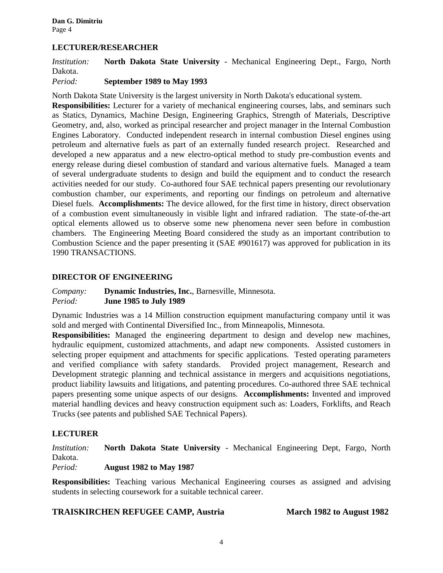#### **LECTURER/RESEARCHER**

*Institution:* **North Dakota State University** - Mechanical Engineering Dept., Fargo, North Dakota.

#### *Period:* **September 1989 to May 1993**

North Dakota State University is the largest university in North Dakota's educational system.

**Responsibilities:** Lecturer for a variety of mechanical engineering courses, labs, and seminars such as Statics, Dynamics, Machine Design, Engineering Graphics, Strength of Materials, Descriptive Geometry, and, also, worked as principal researcher and project manager in the Internal Combustion Engines Laboratory. Conducted independent research in internal combustion Diesel engines using petroleum and alternative fuels as part of an externally funded research project. Researched and developed a new apparatus and a new electro-optical method to study pre-combustion events and energy release during diesel combustion of standard and various alternative fuels. Managed a team of several undergraduate students to design and build the equipment and to conduct the research activities needed for our study. Co-authored four SAE technical papers presenting our revolutionary combustion chamber, our experiments, and reporting our findings on petroleum and alternative Diesel fuels. **Accomplishments:** The device allowed, for the first time in history, direct observation of a combustion event simultaneously in visible light and infrared radiation. The state-of-the-art optical elements allowed us to observe some new phenomena never seen before in combustion chambers. The Engineering Meeting Board considered the study as an important contribution to Combustion Science and the paper presenting it (SAE #901617) was approved for publication in its 1990 TRANSACTIONS.

#### **DIRECTOR OF ENGINEERING**

*Company:* **Dynamic Industries, Inc.**, Barnesville, Minnesota. *Period:* **June 1985 to July 1989**

Dynamic Industries was a 14 Million construction equipment manufacturing company until it was sold and merged with Continental Diversified Inc., from Minneapolis, Minnesota.

**Responsibilities:** Managed the engineering department to design and develop new machines, hydraulic equipment, customized attachments, and adapt new components. Assisted customers in selecting proper equipment and attachments for specific applications. Tested operating parameters and verified compliance with safety standards. Provided project management, Research and Development strategic planning and technical assistance in mergers and acquisitions negotiations, product liability lawsuits and litigations, and patenting procedures. Co-authored three SAE technical papers presenting some unique aspects of our designs. **Accomplishments:** Invented and improved material handling devices and heavy construction equipment such as: Loaders, Forklifts, and Reach Trucks (see patents and published SAE Technical Papers).

#### **LECTURER**

*Institution:* **North Dakota State University** - Mechanical Engineering Dept, Fargo, North Dakota.

#### *Period:* **August 1982 to May 1987**

**Responsibilities:** Teaching various Mechanical Engineering courses as assigned and advising students in selecting coursework for a suitable technical career.

#### **TRAISKIRCHEN REFUGEE CAMP, Austria March 1982 to August 1982**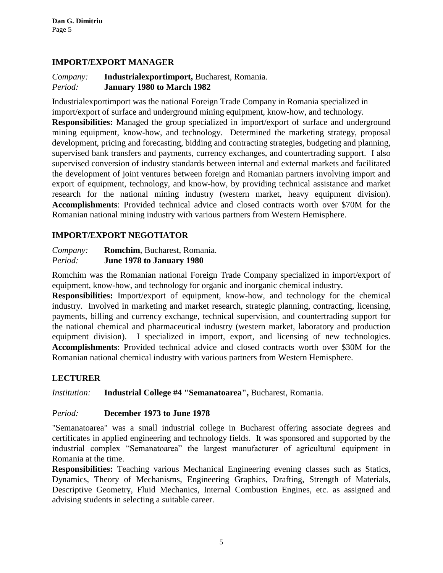#### **IMPORT/EXPORT MANAGER**

#### *Company:* **Industrialexportimport,** Bucharest, Romania. *Period:* **January 1980 to March 1982**

Industrialexportimport was the national Foreign Trade Company in Romania specialized in import/export of surface and underground mining equipment, know-how, and technology.

**Responsibilities:** Managed the group specialized in import/export of surface and underground mining equipment, know-how, and technology. Determined the marketing strategy, proposal development, pricing and forecasting, bidding and contracting strategies, budgeting and planning, supervised bank transfers and payments, currency exchanges, and countertrading support. I also supervised conversion of industry standards between internal and external markets and facilitated the development of joint ventures between foreign and Romanian partners involving import and export of equipment, technology, and know-how, by providing technical assistance and market research for the national mining industry (western market, heavy equipment division). **Accomplishments**: Provided technical advice and closed contracts worth over \$70M for the Romanian national mining industry with various partners from Western Hemisphere.

### **IMPORT/EXPORT NEGOTIATOR**

*Company:* **Romchim**, Bucharest, Romania. *Period:* **June 1978 to January 1980**

Romchim was the Romanian national Foreign Trade Company specialized in import/export of equipment, know-how, and technology for organic and inorganic chemical industry.

**Responsibilities:** Import/export of equipment, know-how, and technology for the chemical industry. Involved in marketing and market research, strategic planning, contracting, licensing, payments, billing and currency exchange, technical supervision, and countertrading support for the national chemical and pharmaceutical industry (western market, laboratory and production equipment division). I specialized in import, export, and licensing of new technologies. **Accomplishments**: Provided technical advice and closed contracts worth over \$30M for the Romanian national chemical industry with various partners from Western Hemisphere.

### **LECTURER**

*Institution:* **Industrial College #4 "Semanatoarea",** Bucharest, Romania.

#### *Period:* **December 1973 to June 1978**

"Semanatoarea" was a small industrial college in Bucharest offering associate degrees and certificates in applied engineering and technology fields. It was sponsored and supported by the industrial complex "Semanatoarea" the largest manufacturer of agricultural equipment in Romania at the time.

**Responsibilities:** Teaching various Mechanical Engineering evening classes such as Statics, Dynamics, Theory of Mechanisms, Engineering Graphics, Drafting, Strength of Materials, Descriptive Geometry, Fluid Mechanics, Internal Combustion Engines, etc. as assigned and advising students in selecting a suitable career.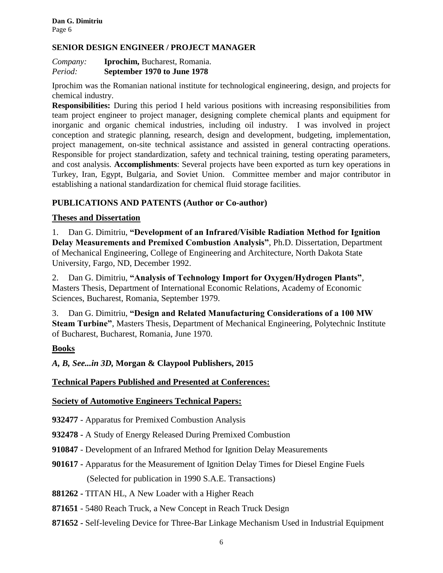#### **SENIOR DESIGN ENGINEER / PROJECT MANAGER**

| Company: | <b>Iprochim</b> , Bucharest, Romania. |
|----------|---------------------------------------|
| Period:  | September 1970 to June 1978           |

Iprochim was the Romanian national institute for technological engineering, design, and projects for chemical industry.

**Responsibilities:** During this period I held various positions with increasing responsibilities from team project engineer to project manager, designing complete chemical plants and equipment for inorganic and organic chemical industries, including oil industry. I was involved in project conception and strategic planning, research, design and development, budgeting, implementation, project management, on-site technical assistance and assisted in general contracting operations. Responsible for project standardization, safety and technical training, testing operating parameters, and cost analysis*.* **Accomplishments**: Several projects have been exported as turn key operations in Turkey, Iran, Egypt, Bulgaria, and Soviet Union. Committee member and major contributor in establishing a national standardization for chemical fluid storage facilities.

#### **PUBLICATIONS AND PATENTS (Author or Co-author)**

#### **Theses and Dissertation**

1. Dan G. Dimitriu, **"Development of an Infrared/Visible Radiation Method for Ignition Delay Measurements and Premixed Combustion Analysis"**, Ph.D. Dissertation, Department of Mechanical Engineering, College of Engineering and Architecture, North Dakota State University, Fargo, ND, December 1992.

2. Dan G. Dimitriu, **"Analysis of Technology Import for Oxygen/Hydrogen Plants"**, Masters Thesis, Department of International Economic Relations, Academy of Economic Sciences, Bucharest, Romania, September 1979.

3. Dan G. Dimitriu, **"Design and Related Manufacturing Considerations of a 100 MW Steam Turbine"**, Masters Thesis, Department of Mechanical Engineering, Polytechnic Institute of Bucharest, Bucharest, Romania, June 1970.

#### **Books**

*A, B, See...in 3D,* **Morgan & Claypool Publishers, 2015**

### **Technical Papers Published and Presented at Conferences:**

#### **Society of Automotive Engineers Technical Papers:**

**932477** - Apparatus for Premixed Combustion Analysis

- **932478 -** A Study of Energy Released During Premixed Combustion
- **910847** Development of an Infrared Method for Ignition Delay Measurements
- **901617 -** Apparatus for the Measurement of Ignition Delay Times for Diesel Engine Fuels (Selected for publication in 1990 S.A.E. Transactions)
- **881262 -** TITAN HL, A New Loader with a Higher Reach
- **871651** 5480 Reach Truck, a New Concept in Reach Truck Design
- **871652 -** Self-leveling Device for Three-Bar Linkage Mechanism Used in Industrial Equipment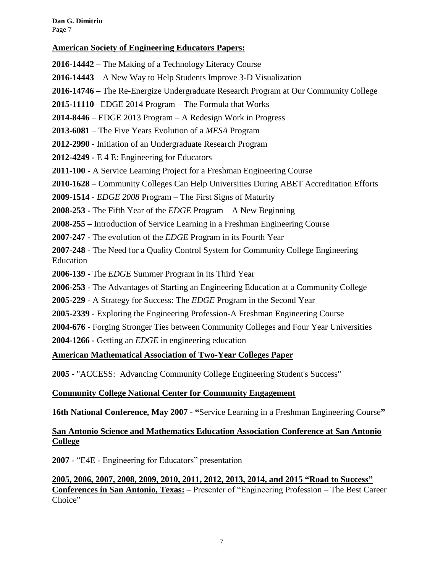#### **American Society of Engineering Educators Papers:**

**2016-14442** – The Making of a Technology Literacy Course

- **2016-14443** A New Way to Help Students Improve 3-D Visualization
- **2016-14746 –** The Re-Energize Undergraduate Research Program at Our Community College
- **2015-11110** EDGE 2014 Program The Formula that Works
- **2014-8446**  EDGE 2013 Program A Redesign Work in Progress
- **2013-6081**  The Five Years Evolution of a *MESA* Program
- **2012-2990 -** Initiation of an Undergraduate Research Program
- **2012-4249 -** E 4 E: Engineering for Educators
- **2011-100 -** A Service Learning Project for a Freshman Engineering Course
- **2010-1628**  Community Colleges Can Help Universities During ABET Accreditation Efforts
- **2009-1514 -** *EDGE 2008* Program The First Signs of Maturity
- **2008-253 -** The Fifth Year of the *EDGE* Program A New Beginning
- **2008-255 –** Introduction of Service Learning in a Freshman Engineering Course
- **2007-247 -** The evolution of the *EDGE* Program in its Fourth Year
- **2007-248** The Need for a Quality Control System for Community College Engineering Education
- **2006-139**  The *EDGE* Summer Program in its Third Year
- **2006-253** The Advantages of Starting an Engineering Education at a Community College
- **2005-229**  A Strategy for Success: The *EDGE* Program in the Second Year
- **2005-2339** Exploring the Engineering Profession-A Freshman Engineering Course
- **2004-676**  Forging Stronger Ties between Community Colleges and Four Year Universities
- **2004-1266 -** Getting an *EDGE* in engineering education

### **American Mathematical Association of Two-Year Colleges Paper**

**2005** - "ACCESS: Advancing Community College Engineering Student's Success"

#### **Community College National Center for Community Engagement**

**16th National Conference, May 2007 - "**[Service Learning in a Freshman Engineering Course](http://www.mc.maricopa.edu/other/engagement/2007Conf/Papers/Dimitriu.pdf)**"**

### **San Antonio Science and Mathematics Education Association Conference at San Antonio College**

**2007** - "E4E - Engineering for Educators" presentation

**2005, 2006, 2007, 2008, 2009, 2010, 2011, 2012, 2013, 2014, and 2015 "Road to Success" Conferences in San Antonio, Texas:** – Presenter of "Engineering Profession – The Best Career Choice"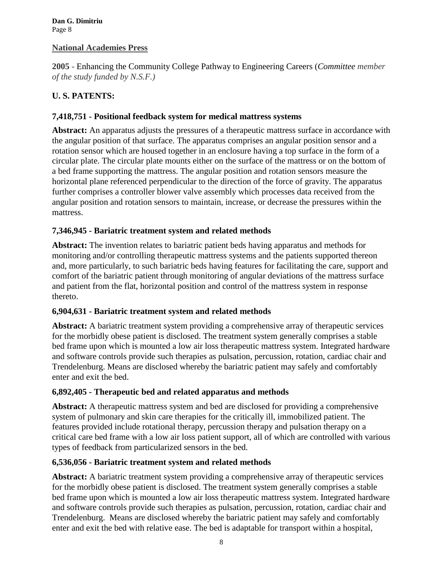#### **National Academies Press**

**2005** - Enhancing the Community College Pathway to Engineering Careers (*Committee member of the study funded by N.S.F.)*

# **U. S. PATENTS:**

#### **7,418,751 - Positional feedback system for medical mattress systems**

**Abstract:** An apparatus adjusts the pressures of a therapeutic mattress surface in accordance with the angular position of that surface. The apparatus comprises an angular position sensor and a rotation sensor which are housed together in an enclosure having a top surface in the form of a circular plate. The circular plate mounts either on the surface of the mattress or on the bottom of a bed frame supporting the mattress. The angular position and rotation sensors measure the horizontal plane referenced perpendicular to the direction of the force of gravity. The apparatus further comprises a controller blower valve assembly which processes data received from the angular position and rotation sensors to maintain, increase, or decrease the pressures within the mattress.

#### **7,346,945 - Bariatric treatment system and related methods**

**Abstract:** The invention relates to bariatric patient beds having apparatus and methods for monitoring and/or controlling therapeutic mattress systems and the patients supported thereon and, more particularly, to such bariatric beds having features for facilitating the care, support and comfort of the bariatric patient through monitoring of angular deviations of the mattress surface and patient from the flat, horizontal position and control of the mattress system in response thereto.

#### **6,904,631 - Bariatric treatment system and related methods**

**Abstract:** A bariatric treatment system providing a comprehensive array of therapeutic services for the morbidly obese patient is disclosed. The treatment system generally comprises a stable bed frame upon which is mounted a low air loss therapeutic mattress system. Integrated hardware and software controls provide such therapies as pulsation, percussion, rotation, cardiac chair and Trendelenburg. Means are disclosed whereby the bariatric patient may safely and comfortably enter and exit the bed.

#### **6,892,405 - Therapeutic bed and related apparatus and methods**

**Abstract:** A therapeutic mattress system and bed are disclosed for providing a comprehensive system of pulmonary and skin care therapies for the critically ill, immobilized patient. The features provided include rotational therapy, percussion therapy and pulsation therapy on a critical care bed frame with a low air loss patient support, all of which are controlled with various types of feedback from particularized sensors in the bed.

### **6,536,056 - Bariatric treatment system and related methods**

**Abstract:** A bariatric treatment system providing a comprehensive array of therapeutic services for the morbidly obese patient is disclosed. The treatment system generally comprises a stable bed frame upon which is mounted a low air loss therapeutic mattress system. Integrated hardware and software controls provide such therapies as pulsation, percussion, rotation, cardiac chair and Trendelenburg. Means are disclosed whereby the bariatric patient may safely and comfortably enter and exit the bed with relative ease. The bed is adaptable for transport within a hospital,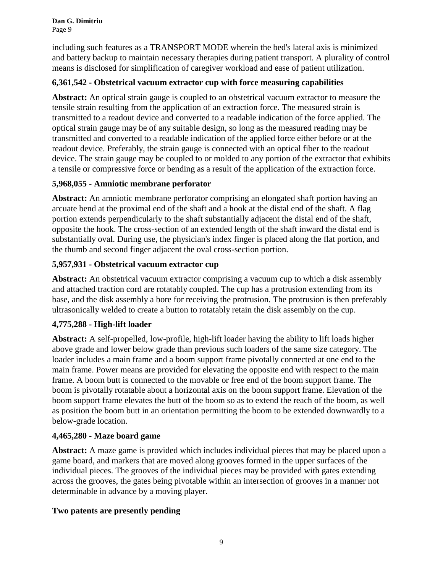including such features as a TRANSPORT MODE wherein the bed's lateral axis is minimized and battery backup to maintain necessary therapies during patient transport. A plurality of control means is disclosed for simplification of caregiver workload and ease of patient utilization.

## **6,361,542 - Obstetrical vacuum extractor cup with force measuring capabilities**

**Abstract:** An optical strain gauge is coupled to an obstetrical vacuum extractor to measure the tensile strain resulting from the application of an extraction force. The measured strain is transmitted to a readout device and converted to a readable indication of the force applied. The optical strain gauge may be of any suitable design, so long as the measured reading may be transmitted and converted to a readable indication of the applied force either before or at the readout device. Preferably, the strain gauge is connected with an optical fiber to the readout device. The strain gauge may be coupled to or molded to any portion of the extractor that exhibits a tensile or compressive force or bending as a result of the application of the extraction force.

# **5,968,055 - Amniotic membrane perforator**

**Abstract:** An amniotic membrane perforator comprising an elongated shaft portion having an arcuate bend at the proximal end of the shaft and a hook at the distal end of the shaft. A flag portion extends perpendicularly to the shaft substantially adjacent the distal end of the shaft, opposite the hook. The cross-section of an extended length of the shaft inward the distal end is substantially oval. During use, the physician's index finger is placed along the flat portion, and the thumb and second finger adjacent the oval cross-section portion.

# **5,957,931 - Obstetrical vacuum extractor cup**

**Abstract:** An obstetrical vacuum extractor comprising a vacuum cup to which a disk assembly and attached traction cord are rotatably coupled. The cup has a protrusion extending from its base, and the disk assembly a bore for receiving the protrusion. The protrusion is then preferably ultrasonically welded to create a button to rotatably retain the disk assembly on the cup.

### **4,775,288 - High-lift loader**

**Abstract:** A self-propelled, low-profile, high-lift loader having the ability to lift loads higher above grade and lower below grade than previous such loaders of the same size category. The loader includes a main frame and a boom support frame pivotally connected at one end to the main frame. Power means are provided for elevating the opposite end with respect to the main frame. A boom butt is connected to the movable or free end of the boom support frame. The boom is pivotally rotatable about a horizontal axis on the boom support frame. Elevation of the boom support frame elevates the butt of the boom so as to extend the reach of the boom, as well as position the boom butt in an orientation permitting the boom to be extended downwardly to a below-grade location.

### **4,465,280 - Maze board game**

**Abstract:** A maze game is provided which includes individual pieces that may be placed upon a game board, and markers that are moved along grooves formed in the upper surfaces of the individual pieces. The grooves of the individual pieces may be provided with gates extending across the grooves, the gates being pivotable within an intersection of grooves in a manner not determinable in advance by a moving player.

### **Two patents are presently pending**